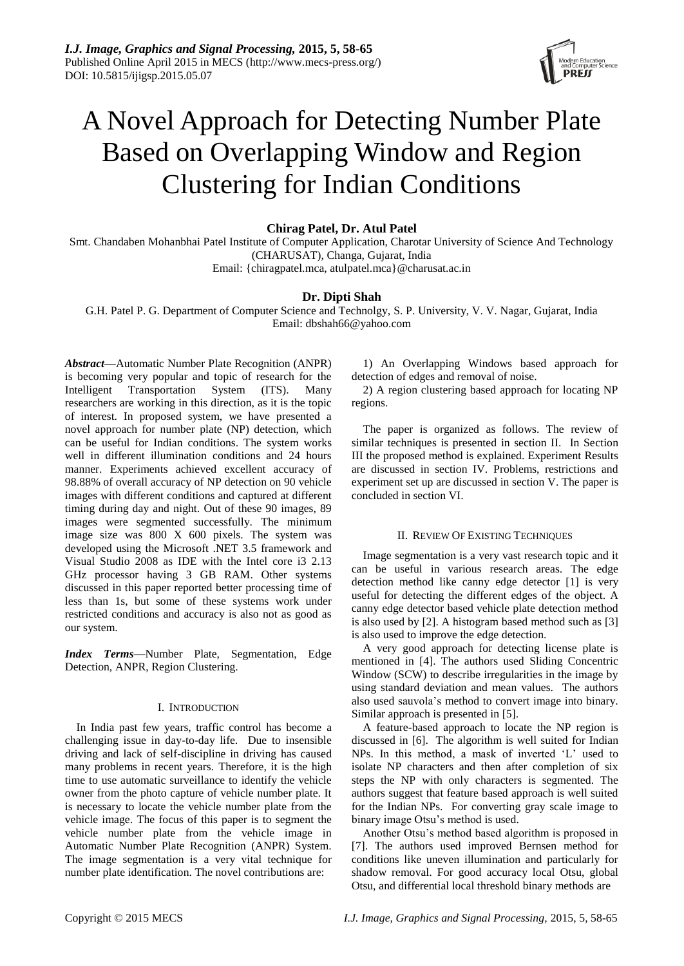

# A Novel Approach for Detecting Number Plate Based on Overlapping Window and Region Clustering for Indian Conditions

**Chirag Patel, Dr. Atul Patel**

Smt. Chandaben Mohanbhai Patel Institute of Computer Application, Charotar University of Science And Technology (CHARUSAT), Changa, Gujarat, India Email: {chiragpatel.mca, atulpatel.mca}@charusat.ac.in

# **Dr. Dipti Shah**

G.H. Patel P. G. Department of Computer Science and Technolgy, S. P. University, V. V. Nagar, Gujarat, India Email: dbshah66@yahoo.com

*Abstract***—**Automatic Number Plate Recognition (ANPR) is becoming very popular and topic of research for the Intelligent Transportation System (ITS). Many researchers are working in this direction, as it is the topic of interest. In proposed system, we have presented a novel approach for number plate (NP) detection, which can be useful for Indian conditions. The system works well in different illumination conditions and 24 hours manner. Experiments achieved excellent accuracy of 98.88% of overall accuracy of NP detection on 90 vehicle images with different conditions and captured at different timing during day and night. Out of these 90 images, 89 images were segmented successfully. The minimum image size was 800 X 600 pixels. The system was developed using the Microsoft .NET 3.5 framework and Visual Studio 2008 as IDE with the Intel core i3 2.13 GHz processor having 3 GB RAM. Other systems discussed in this paper reported better processing time of less than 1s, but some of these systems work under restricted conditions and accuracy is also not as good as our system.

*Index Terms*—Number Plate, Segmentation, Edge Detection, ANPR, Region Clustering.

# I. INTRODUCTION

In India past few years, traffic control has become a challenging issue in day-to-day life. Due to insensible driving and lack of self-discipline in driving has caused many problems in recent years. Therefore, it is the high time to use automatic surveillance to identify the vehicle owner from the photo capture of vehicle number plate. It is necessary to locate the vehicle number plate from the vehicle image. The focus of this paper is to segment the vehicle number plate from the vehicle image in Automatic Number Plate Recognition (ANPR) System. The image segmentation is a very vital technique for number plate identification. The novel contributions are:

1) An Overlapping Windows based approach for detection of edges and removal of noise.

2) A region clustering based approach for locating NP regions.

The paper is organized as follows. The review of similar techniques is presented in section II. In Section III the proposed method is explained. Experiment Results are discussed in section IV. Problems, restrictions and experiment set up are discussed in section V. The paper is concluded in section VI.

# II. REVIEW OF EXISTING TECHNIQUES

Image segmentation is a very vast research topic and it can be useful in various research areas. The edge detection method like canny edge detector [1] is very useful for detecting the different edges of the object. A canny edge detector based vehicle plate detection method is also used by [2]. A histogram based method such as [3] is also used to improve the edge detection.

A very good approach for detecting license plate is mentioned in [4]. The authors used Sliding Concentric Window (SCW) to describe irregularities in the image by using standard deviation and mean values. The authors also used sauvola's method to convert image into binary. Similar approach is presented in [5].

A feature-based approach to locate the NP region is discussed in [6]. The algorithm is well suited for Indian NPs. In this method, a mask of inverted 'L' used to isolate NP characters and then after completion of six steps the NP with only characters is segmented. The authors suggest that feature based approach is well suited for the Indian NPs. For converting gray scale image to binary image Otsu's method is used.

Another Otsu's method based algorithm is proposed in [7]. The authors used improved Bernsen method for conditions like uneven illumination and particularly for shadow removal. For good accuracy local Otsu, global Otsu, and differential local threshold binary methods are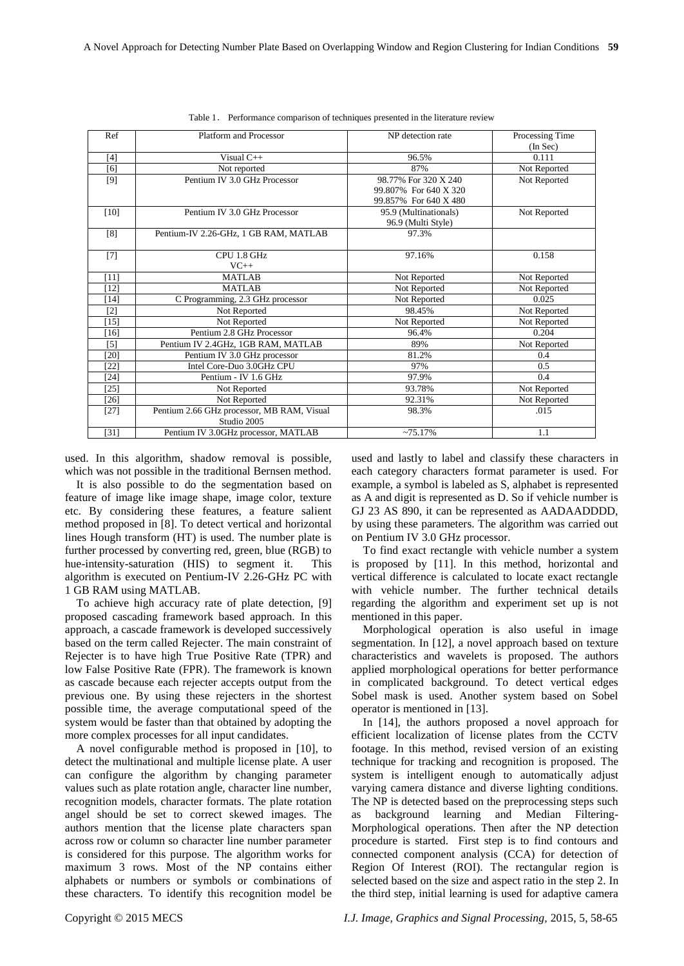| Ref    | Platform and Processor                     | NP detection rate     | Processing Time |
|--------|--------------------------------------------|-----------------------|-----------------|
|        |                                            |                       | (In Sec)        |
| [4]    | Visual $C++$                               | 96.5%                 | 0.111           |
| [6]    | Not reported                               | 87%                   | Not Reported    |
| $[9]$  | Pentium IV 3.0 GHz Processor               | 98.77% For 320 X 240  | Not Reported    |
|        |                                            | 99.807% For 640 X 320 |                 |
|        |                                            | 99.857% For 640 X 480 |                 |
| $[10]$ | Pentium IV 3.0 GHz Processor               | 95.9 (Multinationals) | Not Reported    |
|        |                                            | 96.9 (Multi Style)    |                 |
| [8]    | Pentium-IV 2.26-GHz, 1 GB RAM, MATLAB      | 97.3%                 |                 |
|        |                                            |                       |                 |
| $[7]$  | CPU 1.8 GHz                                | 97.16%                | 0.158           |
|        | $VC++$                                     |                       |                 |
| [11]   | <b>MATLAB</b>                              | Not Reported          | Not Reported    |
| $[12]$ | <b>MATLAB</b>                              | Not Reported          | Not Reported    |
| 14]    | C Programming, 2.3 GHz processor           | Not Reported          | 0.025           |
| [2]    | Not Reported                               | 98.45%                | Not Reported    |
| $[15]$ | Not Reported                               | Not Reported          | Not Reported    |
| $[16]$ | Pentium 2.8 GHz Processor                  | 96.4%                 | 0.204           |
| [5]    | Pentium IV 2.4GHz, 1GB RAM, MATLAB         | 89%                   | Not Reported    |
| [20]   | Pentium IV 3.0 GHz processor               | 81.2%                 | 0.4             |
| $[22]$ | Intel Core-Duo 3.0GHz CPU                  | 97%                   | 0.5             |
| [24]   | Pentium - IV 1.6 GHz                       | 97.9%                 | 0.4             |
| $[25]$ | Not Reported                               | 93.78%                | Not Reported    |
| [26]   | Not Reported                               | 92.31%                | Not Reported    |
| $[27]$ | Pentium 2.66 GHz processor, MB RAM, Visual | 98.3%                 | .015            |
|        | Studio 2005                                |                       |                 |
| [31]   | Pentium IV 3.0GHz processor, MATLAB        | $~275.17\%$           | 1.1             |

|  |  |  |  |  | Table 1. Performance comparison of techniques presented in the literature review |  |
|--|--|--|--|--|----------------------------------------------------------------------------------|--|
|--|--|--|--|--|----------------------------------------------------------------------------------|--|

used. In this algorithm, shadow removal is possible, which was not possible in the traditional Bernsen method.

It is also possible to do the segmentation based on feature of image like image shape, image color, texture etc. By considering these features, a feature salient method proposed in [8]. To detect vertical and horizontal lines Hough transform (HT) is used. The number plate is further processed by converting red, green, blue (RGB) to hue-intensity-saturation (HIS) to segment it. This algorithm is executed on Pentium-IV 2.26-GHz PC with 1 GB RAM using MATLAB.

To achieve high accuracy rate of plate detection, [9] proposed cascading framework based approach. In this approach, a cascade framework is developed successively based on the term called Rejecter. The main constraint of Rejecter is to have high True Positive Rate (TPR) and low False Positive Rate (FPR). The framework is known as cascade because each rejecter accepts output from the previous one. By using these rejecters in the shortest possible time, the average computational speed of the system would be faster than that obtained by adopting the more complex processes for all input candidates.

A novel configurable method is proposed in [10], to detect the multinational and multiple license plate. A user can configure the algorithm by changing parameter values such as plate rotation angle, character line number, recognition models, character formats. The plate rotation angel should be set to correct skewed images. The authors mention that the license plate characters span across row or column so character line number parameter is considered for this purpose. The algorithm works for maximum 3 rows. Most of the NP contains either alphabets or numbers or symbols or combinations of these characters. To identify this recognition model be

used and lastly to label and classify these characters in each category characters format parameter is used. For example, a symbol is labeled as S, alphabet is represented as A and digit is represented as D. So if vehicle number is GJ 23 AS 890, it can be represented as AADAADDDD, by using these parameters. The algorithm was carried out on Pentium IV 3.0 GHz processor.

To find exact rectangle with vehicle number a system is proposed by [11]. In this method, horizontal and vertical difference is calculated to locate exact rectangle with vehicle number. The further technical details regarding the algorithm and experiment set up is not mentioned in this paper.

Morphological operation is also useful in image segmentation. In [12], a novel approach based on texture characteristics and wavelets is proposed. The authors applied morphological operations for better performance in complicated background. To detect vertical edges Sobel mask is used. Another system based on Sobel operator is mentioned in [13].

In [14], the authors proposed a novel approach for efficient localization of license plates from the CCTV footage. In this method, revised version of an existing technique for tracking and recognition is proposed. The system is intelligent enough to automatically adjust varying camera distance and diverse lighting conditions. The NP is detected based on the preprocessing steps such as background learning and Median Filtering-Morphological operations. Then after the NP detection procedure is started. First step is to find contours and connected component analysis (CCA) for detection of Region Of Interest (ROI). The rectangular region is selected based on the size and aspect ratio in the step 2. In the third step, initial learning is used for adaptive camera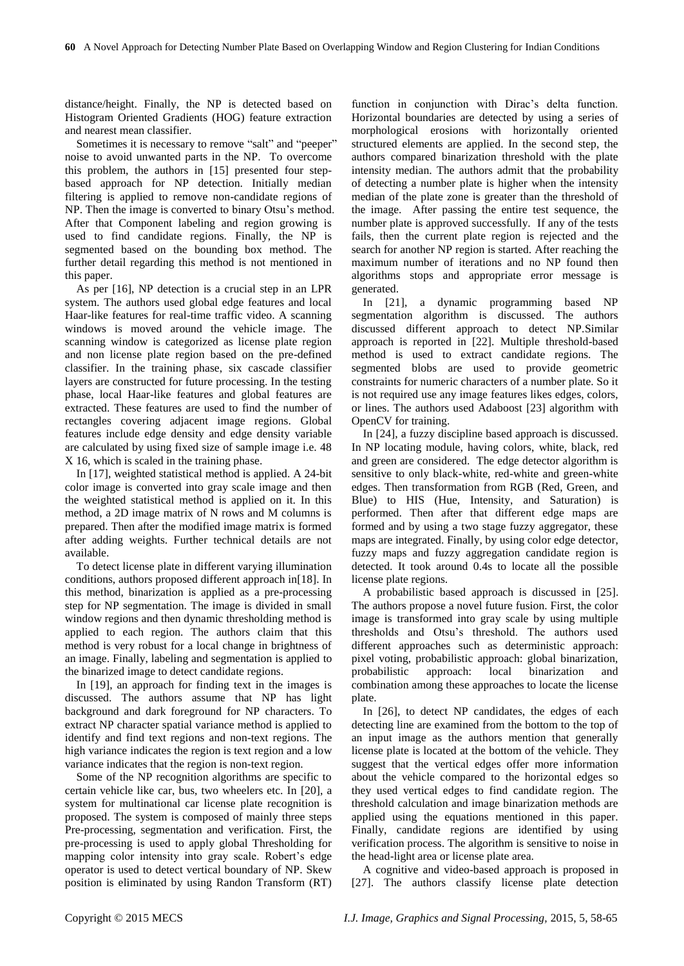distance/height. Finally, the NP is detected based on Histogram Oriented Gradients (HOG) feature extraction and nearest mean classifier.

Sometimes it is necessary to remove "salt" and "peeper" noise to avoid unwanted parts in the NP. To overcome this problem, the authors in [15] presented four stepbased approach for NP detection. Initially median filtering is applied to remove non-candidate regions of NP. Then the image is converted to binary Otsu's method. After that Component labeling and region growing is used to find candidate regions. Finally, the NP is segmented based on the bounding box method. The further detail regarding this method is not mentioned in this paper.

As per [16], NP detection is a crucial step in an LPR system. The authors used global edge features and local Haar-like features for real-time traffic video. A scanning windows is moved around the vehicle image. The scanning window is categorized as license plate region and non license plate region based on the pre-defined classifier. In the training phase, six cascade classifier layers are constructed for future processing. In the testing phase, local Haar-like features and global features are extracted. These features are used to find the number of rectangles covering adjacent image regions. Global features include edge density and edge density variable are calculated by using fixed size of sample image i.e. 48 X 16, which is scaled in the training phase.

In [17], weighted statistical method is applied. A 24-bit color image is converted into gray scale image and then the weighted statistical method is applied on it. In this method, a 2D image matrix of N rows and M columns is prepared. Then after the modified image matrix is formed after adding weights. Further technical details are not available.

To detect license plate in different varying illumination conditions, authors proposed different approach in[18]. In this method, binarization is applied as a pre-processing step for NP segmentation. The image is divided in small window regions and then dynamic thresholding method is applied to each region. The authors claim that this method is very robust for a local change in brightness of an image. Finally, labeling and segmentation is applied to the binarized image to detect candidate regions.

In [19], an approach for finding text in the images is discussed. The authors assume that NP has light background and dark foreground for NP characters. To extract NP character spatial variance method is applied to identify and find text regions and non-text regions. The high variance indicates the region is text region and a low variance indicates that the region is non-text region.

Some of the NP recognition algorithms are specific to certain vehicle like car, bus, two wheelers etc. In [20], a system for multinational car license plate recognition is proposed. The system is composed of mainly three steps Pre-processing, segmentation and verification. First, the pre-processing is used to apply global Thresholding for mapping color intensity into gray scale. Robert's edge operator is used to detect vertical boundary of NP. Skew position is eliminated by using Randon Transform (RT)

function in conjunction with Dirac's delta function. Horizontal boundaries are detected by using a series of morphological erosions with horizontally oriented structured elements are applied. In the second step, the authors compared binarization threshold with the plate intensity median. The authors admit that the probability of detecting a number plate is higher when the intensity median of the plate zone is greater than the threshold of the image. After passing the entire test sequence, the number plate is approved successfully. If any of the tests fails, then the current plate region is rejected and the search for another NP region is started. After reaching the maximum number of iterations and no NP found then algorithms stops and appropriate error message is generated.

In [21], a dynamic programming based NP segmentation algorithm is discussed. The authors discussed different approach to detect NP.Similar approach is reported in [22]. Multiple threshold-based method is used to extract candidate regions. The segmented blobs are used to provide geometric constraints for numeric characters of a number plate. So it is not required use any image features likes edges, colors, or lines. The authors used Adaboost [23] algorithm with OpenCV for training.

In [24], a fuzzy discipline based approach is discussed. In NP locating module, having colors, white, black, red and green are considered. The edge detector algorithm is sensitive to only black-white, red-white and green-white edges. Then transformation from RGB (Red, Green, and Blue) to HIS (Hue, Intensity, and Saturation) is performed. Then after that different edge maps are formed and by using a two stage fuzzy aggregator, these maps are integrated. Finally, by using color edge detector, fuzzy maps and fuzzy aggregation candidate region is detected. It took around 0.4s to locate all the possible license plate regions.

A probabilistic based approach is discussed in [25]. The authors propose a novel future fusion. First, the color image is transformed into gray scale by using multiple thresholds and Otsu's threshold. The authors used different approaches such as deterministic approach: pixel voting, probabilistic approach: global binarization, probabilistic approach: local binarization and combination among these approaches to locate the license plate.

In [26], to detect NP candidates, the edges of each detecting line are examined from the bottom to the top of an input image as the authors mention that generally license plate is located at the bottom of the vehicle. They suggest that the vertical edges offer more information about the vehicle compared to the horizontal edges so they used vertical edges to find candidate region. The threshold calculation and image binarization methods are applied using the equations mentioned in this paper. Finally, candidate regions are identified by using verification process. The algorithm is sensitive to noise in the head-light area or license plate area.

A cognitive and video-based approach is proposed in [27]. The authors classify license plate detection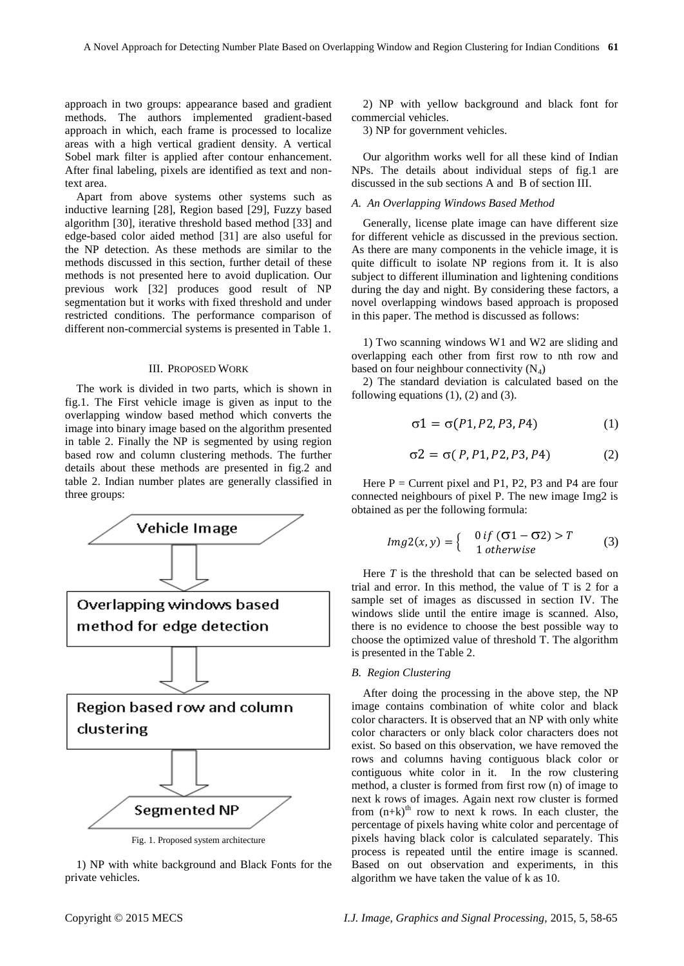approach in two groups: appearance based and gradient methods. The authors implemented gradient-based approach in which, each frame is processed to localize areas with a high vertical gradient density. A vertical Sobel mark filter is applied after contour enhancement. After final labeling, pixels are identified as text and nontext area.

Apart from above systems other systems such as inductive learning [28], Region based [29], Fuzzy based algorithm [30], iterative threshold based method [33] and edge-based color aided method [31] are also useful for the NP detection. As these methods are similar to the methods discussed in this section, further detail of these methods is not presented here to avoid duplication. Our previous work [32] produces good result of NP segmentation but it works with fixed threshold and under restricted conditions. The performance comparison of different non-commercial systems is presented in Table 1.

## III. PROPOSED WORK

The work is divided in two parts, which is shown in fig.1. The First vehicle image is given as input to the overlapping window based method which converts the image into binary image based on the algorithm presented in table 2. Finally the NP is segmented by using region based row and column clustering methods. The further details about these methods are presented in fig.2 and table 2. Indian number plates are generally classified in three groups:



1) NP with white background and Black Fonts for the private vehicles.

2) NP with yellow background and black font for commercial vehicles.

3) NP for government vehicles.

Our algorithm works well for all these kind of Indian NPs. The details about individual steps of fig.1 are discussed in the sub sections A and B of section III.

# *A. An Overlapping Windows Based Method*

Generally, license plate image can have different size for different vehicle as discussed in the previous section. As there are many components in the vehicle image, it is quite difficult to isolate NP regions from it. It is also subject to different illumination and lightening conditions during the day and night. By considering these factors, a novel overlapping windows based approach is proposed in this paper. The method is discussed as follows:

1) Two scanning windows W1 and W2 are sliding and overlapping each other from first row to nth row and based on four neighbour connectivity  $(N_4)$ 

2) The standard deviation is calculated based on the following equations  $(1)$ ,  $(2)$  and  $(3)$ .

$$
\sigma 1 = \sigma(P1, P2, P3, P4) \tag{1}
$$

$$
\sigma 2 = \sigma(P, P1, P2, P3, P4) \tag{2}
$$

Here  $P =$  Current pixel and P1, P2, P3 and P4 are four connected neighbours of pixel P. The new image Img2 is obtained as per the following formula:

$$
Img2(x, y) = \begin{cases} 0 \text{ if } (\sigma1 - \sigma2) > T \\ 1 \text{ otherwise} \end{cases}
$$
 (3)

Here *T* is the threshold that can be selected based on trial and error. In this method, the value of T is 2 for a sample set of images as discussed in section IV. The windows slide until the entire image is scanned. Also, there is no evidence to choose the best possible way to choose the optimized value of threshold T. The algorithm is presented in the Table 2.

## *B. Region Clustering*

After doing the processing in the above step, the NP image contains combination of white color and black color characters. It is observed that an NP with only white color characters or only black color characters does not exist. So based on this observation, we have removed the rows and columns having contiguous black color or contiguous white color in it. In the row clustering method, a cluster is formed from first row (n) of image to next k rows of images. Again next row cluster is formed from  $(n+k)^{th}$  row to next k rows. In each cluster, the percentage of pixels having white color and percentage of pixels having black color is calculated separately. This process is repeated until the entire image is scanned. Based on out observation and experiments, in this algorithm we have taken the value of k as 10.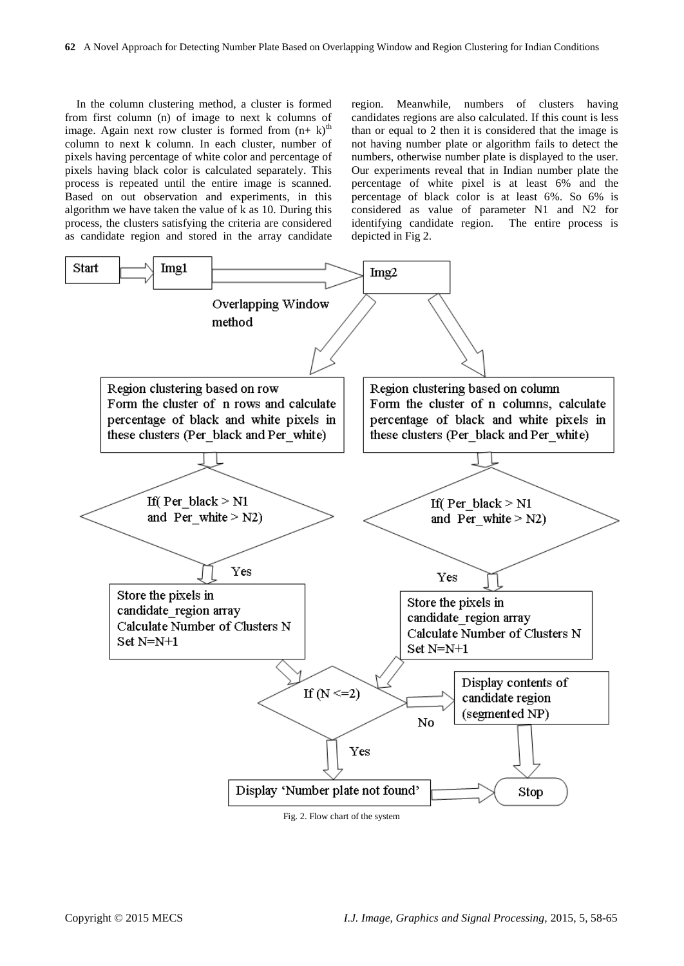In the column clustering method, a cluster is formed from first column (n) of image to next k columns of image. Again next row cluster is formed from  $(n+k)$ <sup>th</sup> column to next k column. In each cluster, number of pixels having percentage of white color and percentage of pixels having black color is calculated separately. This process is repeated until the entire image is scanned. Based on out observation and experiments, in this algorithm we have taken the value of  $\bar{k}$  as 10. During this process, the clusters satisfying the criteria are considered as candidate region and stored in the array candidate region. Meanwhile, numbers of clusters having candidates regions are also calculated. If this count is less than or equal to 2 then it is considered that the image is not having number plate or algorithm fails to detect the numbers, otherwise number plate is displayed to the user. Our experiments reveal that in Indian number plate the percentage of white pixel is at least 6% and the percentage of black color is at least 6%. So 6% is considered as value of parameter N1 and N2 for identifying candidate region. The entire process is depicted in Fig 2.



Fig. 2. Flow chart of the system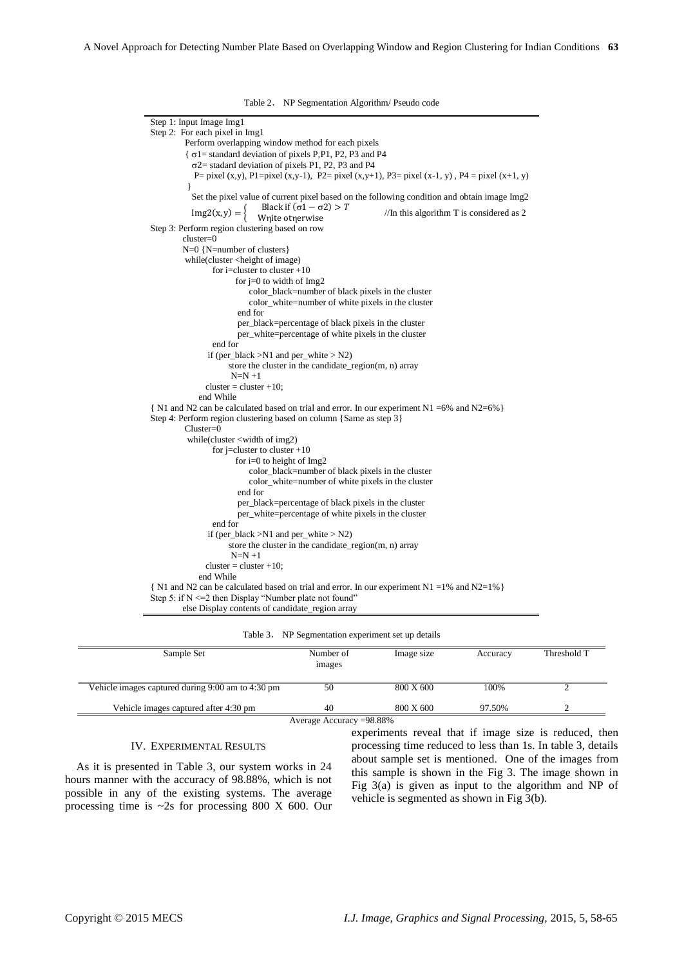Table 2. NP Segmentation Algorithm/ Pseudo code

Step 1: Input Image Img1 Step 2: For each pixel in Img1 Perform overlapping window method for each pixels  $\{\sigma\}$  = standard deviation of pixels P, P1, P2, P3 and P4  $\sigma$ 2 = stadard deviation of pixels P1, P2, P3 and P4 P= pixel (x,y), P1=pixel (x,y-1), P2= pixel (x,y+1), P3= pixel (x-1, y), P4 = pixel (x+1, y) } Set the pixel value of current pixel based on the following condition and obtain image Img2  $Img2(x, y) =$ Black if  $(\sigma 1 - \sigma 2) > T$ black II ( $61 - 62$ ) > 1 //In this algorithm T is considered as 2 Wnite otherwise Step 3: Perform region clustering based on row cluster=0 N=0 {N=number of clusters} while(cluster <height of image) for i=cluster to cluster  $+10$ for  $j=0$  to width of Img2 color\_black=number of black pixels in the cluster color\_white=number of white pixels in the cluster end for per\_black=percentage of black pixels in the cluster per\_white=percentage of white pixels in the cluster end for if (per\_black >N1 and per\_white > N2) store the cluster in the candidate\_region(m, n) array  $N=N+1$  $cluster = cluster +10;$  end While { N1 and N2 can be calculated based on trial and error. In our experiment N1 =6% and N2=6%} Step 4: Perform region clustering based on column {Same as step 3} Cluster=0 while(cluster <width of img2) for j=cluster to cluster +10 for i=0 to height of Img2 color\_black=number of black pixels in the cluster color\_white=number of white pixels in the cluster end for per\_black=percentage of black pixels in the cluster per\_white=percentage of white pixels in the cluster end for if (per\_black >N1 and per\_white > N2) store the cluster in the candidate  $region(m, n)$  array  $N=N+1$  $cluster = cluster +10$ : end While  $\{ N1 \text{ and } N2 \text{ can be calculated based on trial and error. In our experiment N1 = 1% and N2=1% }$ Step 5: if  $N \le 2$  then Display "Number plate not found" else Display contents of candidate\_region array

Table 3. NP Segmentation experiment set up details

| Sample Set                                        | Number of<br>images | Image size | Accuracy | Threshold T |
|---------------------------------------------------|---------------------|------------|----------|-------------|
| Vehicle images captured during 9:00 am to 4:30 pm | 50                  | 800 X 600  | 100%     |             |
| Vehicle images captured after 4:30 pm             | 40                  | 800 X 600  | 97.50%   |             |

#### IV. EXPERIMENTAL RESULTS

As it is presented in Table 3, our system works in 24 hours manner with the accuracy of 98.88%, which is not possible in any of the existing systems. The average processing time is  $\sim$ 2s for processing 800 X 600. Our experiments reveal that if image size is reduced, then processing time reduced to less than 1s. In table 3, details about sample set is mentioned. One of the images from this sample is shown in the Fig 3. The image shown in Fig 3(a) is given as input to the algorithm and NP of vehicle is segmented as shown in Fig 3(b).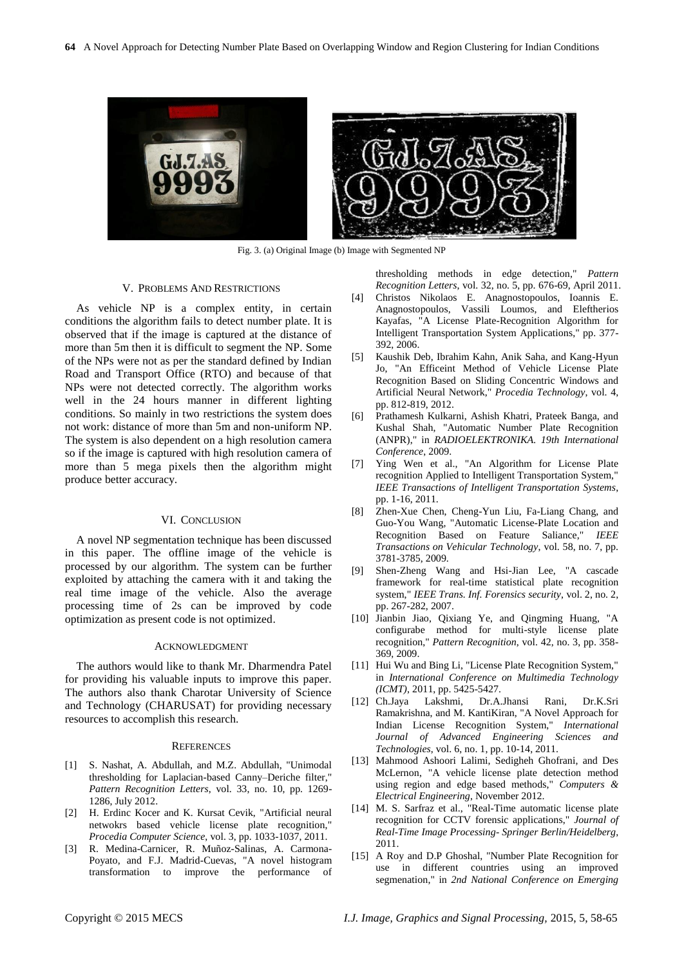

Fig. 3. (a) Original Image (b) Image with Segmented NP

#### V. PROBLEMS AND RESTRICTIONS

As vehicle NP is a complex entity, in certain conditions the algorithm fails to detect number plate. It is observed that if the image is captured at the distance of more than 5m then it is difficult to segment the NP. Some of the NPs were not as per the standard defined by Indian Road and Transport Office (RTO) and because of that NPs were not detected correctly. The algorithm works well in the 24 hours manner in different lighting conditions. So mainly in two restrictions the system does not work: distance of more than 5m and non-uniform NP. The system is also dependent on a high resolution camera so if the image is captured with high resolution camera of more than 5 mega pixels then the algorithm might produce better accuracy.

#### VI. CONCLUSION

A novel NP segmentation technique has been discussed in this paper. The offline image of the vehicle is processed by our algorithm. The system can be further exploited by attaching the camera with it and taking the real time image of the vehicle. Also the average processing time of 2s can be improved by code optimization as present code is not optimized.

#### ACKNOWLEDGMENT

The authors would like to thank Mr. Dharmendra Patel for providing his valuable inputs to improve this paper. The authors also thank Charotar University of Science and Technology (CHARUSAT) for providing necessary resources to accomplish this research.

#### **REFERENCES**

- [1] S. Nashat, A. Abdullah, and M.Z. Abdullah, "Unimodal thresholding for Laplacian-based Canny–Deriche filter," *Pattern Recognition Letters*, vol. 33, no. 10, pp. 1269- 1286, July 2012.
- [2] H. Erdinc Kocer and K. Kursat Cevik, "Artificial neural netwokrs based vehicle license plate recognition," *Procedia Computer Science*, vol. 3, pp. 1033-1037, 2011.
- [3] R. Medina-Carnicer, R. Muñoz-Salinas, A. Carmona-Poyato, and F.J. Madrid-Cuevas, "A novel histogram transformation to improve the performance of

thresholding methods in edge detection," *Pattern Recognition Letters*, vol. 32, no. 5, pp. 676-69, April 2011.

- [4] Christos Nikolaos E. Anagnostopoulos, Ioannis E. Anagnostopoulos, Vassili Loumos, and Eleftherios Kayafas, "A License Plate-Recognition Algorithm for Intelligent Transportation System Applications," pp. 377- 392, 2006.
- [5] Kaushik Deb, Ibrahim Kahn, Anik Saha, and Kang-Hyun Jo, "An Efficeint Method of Vehicle License Plate Recognition Based on Sliding Concentric Windows and Artificial Neural Network," *Procedia Technology*, vol. 4, pp. 812-819, 2012.
- [6] Prathamesh Kulkarni, Ashish Khatri, Prateek Banga, and Kushal Shah, "Automatic Number Plate Recognition (ANPR)," in *RADIOELEKTRONIKA. 19th International Conference*, 2009.
- [7] Ying Wen et al., "An Algorithm for License Plate recognition Applied to Intelligent Transportation System," *IEEE Transactions of Intelligent Transportation Systems*, pp. 1-16, 2011.
- [8] Zhen-Xue Chen, Cheng-Yun Liu, Fa-Liang Chang, and Guo-You Wang, "Automatic License-Plate Location and Recognition Based on Feature Saliance," *IEEE Transactions on Vehicular Technology*, vol. 58, no. 7, pp. 3781-3785, 2009.
- [9] Shen-Zheng Wang and Hsi-Jian Lee, "A cascade framework for real-time statistical plate recognition system," *IEEE Trans. Inf. Forensics security*, vol. 2, no. 2, pp. 267-282, 2007.
- [10] Jianbin Jiao, Qixiang Ye, and Qingming Huang, "A configurabe method for multi-style license plate recognition," *Pattern Recognition*, vol. 42, no. 3, pp. 358- 369, 2009.
- [11] Hui Wu and Bing Li, "License Plate Recognition System," in *International Conference on Multimedia Technology (ICMT)*, 2011, pp. 5425-5427.
- [12] Ch.Jaya Lakshmi, Dr.A.Jhansi Rani, Dr.K.Sri Ramakrishna, and M. KantiKiran, "A Novel Approach for Indian License Recognition System," *International Journal of Advanced Engineering Sciences and Technologies*, vol. 6, no. 1, pp. 10-14, 2011.
- [13] Mahmood Ashoori Lalimi, Sedigheh Ghofrani, and Des McLernon, "A vehicle license plate detection method using region and edge based methods," *Computers & Electrical Engineering*, November 2012.
- [14] M. S. Sarfraz et al., "Real-Time automatic license plate recognition for CCTV forensic applications," *Journal of Real-Time Image Processing- Springer Berlin/Heidelberg*, 2011.
- [15] A Roy and D.P Ghoshal, "Number Plate Recognition for use in different countries using an improved segmenation," in *2nd National Conference on Emerging*